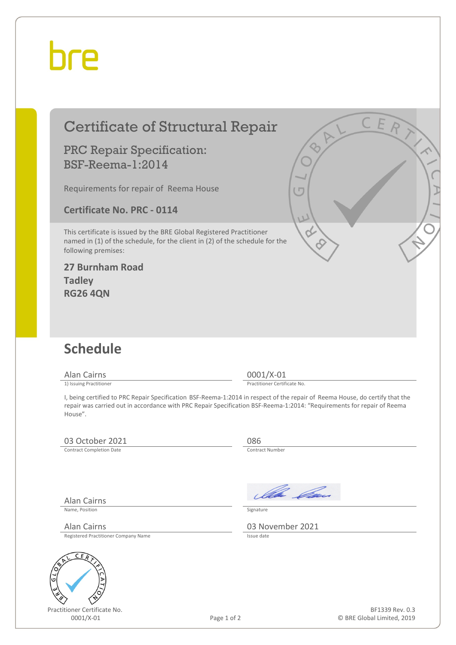## hre

## Certificate of Structural Repair

### PRC Repair Specification: BSF-Reema-1:2014

Requirements for repair of Reema House

**Certificate No. PRC - 0114**

This certificate is issued by the BRE Global Registered Practitioner named in (1) of the schedule, for the client in (2) of the schedule for the following premises:

#### **27 Burnham Road Tadley RG26 4QN**

## **Schedule**

Alan Cairns 0001/X-01<br>
1) Issuing Practitioner<br>
1) Issuing Practitioner

Practitioner Certificate No.

I, being certified to PRC Repair Specification BSF-Reema-1:2014 in respect of the repair of Reema House, do certify that the repair was carried out in accordance with PRC Repair Specification BSF-Reema-1:2014: "Requirements for repair of Reema House".

### 03 October 2021 086<br>
Contract Completion Date

Contract Completion Date

Ila *Ca* 

Name, Position Signature

Alan Cairns 03 November 2021

Registered Practitioner Company Name

Alan Cairns



Practitioner Certificate No.